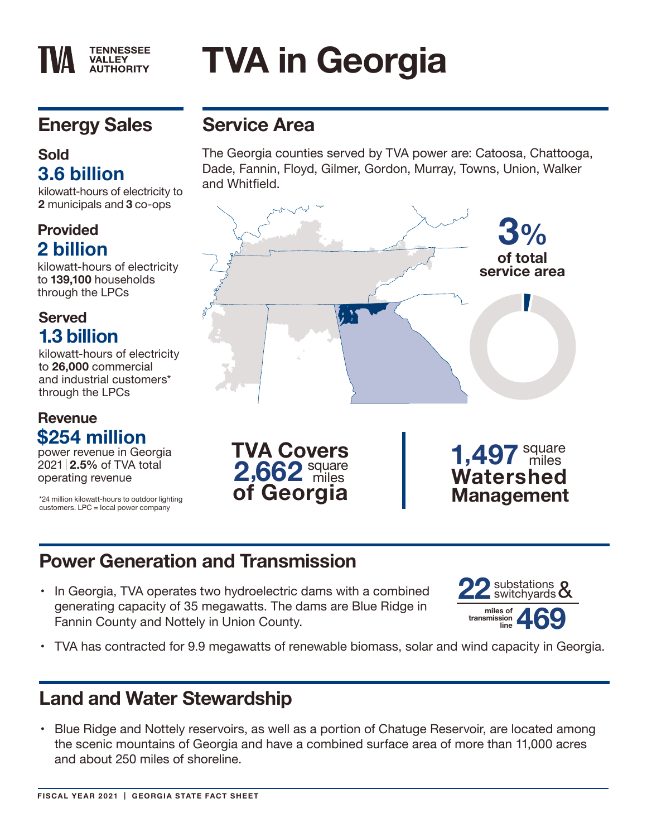# **TVA in Georgia**

# **Energy Sales**

**TENNESSEE VALLEY AUTHORITY** 

## **Sold 3.6 billion**

kilowatt-hours of electricity to **2** municipals and **3** co-ops

### **Provided 2 billion**

kilowatt-hours of electricity to **139,100** households through the LPCs

## **Served 1.3 billion**

kilowatt-hours of electricity to **26,000** commercial and industrial customers\* through the LPCs

#### **Revenue \$254 million**

power revenue in Georgia 2021 **2.5%** of TVA total

\*24 million kilowatt-hours to outdoor lighting customers. LPC = local power company

# **Service Area**

The Georgia counties served by TVA power are: Catoosa, Chattooga, Dade, Fannin, Floyd, Gilmer, Gordon, Murray, Towns, Union, Walker and Whitfield.



# **Power Generation and Transmission**

• In Georgia, TVA operates two hydroelectric dams with a combined generating capacity of 35 megawatts. The dams are Blue Ridge in Fannin County and Nottely in Union County.



• TVA has contracted for 9.9 megawatts of renewable biomass, solar and wind capacity in Georgia.

## **Land and Water Stewardship**

• Blue Ridge and Nottely reservoirs, as well as a portion of Chatuge Reservoir, are located among the scenic mountains of Georgia and have a combined surface area of more than 11,000 acres and about 250 miles of shoreline.